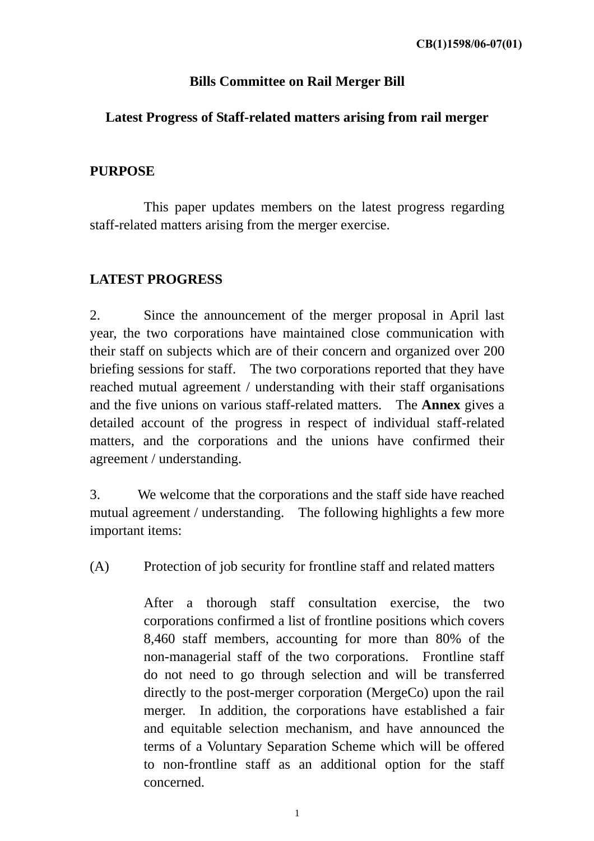# **Bills Committee on Rail Merger Bill**

## **Latest Progress of Staff-related matters arising from rail merger**

## **PURPOSE**

 This paper updates members on the latest progress regarding staff-related matters arising from the merger exercise.

### **LATEST PROGRESS**

2. Since the announcement of the merger proposal in April last year, the two corporations have maintained close communication with their staff on subjects which are of their concern and organized over 200 briefing sessions for staff. The two corporations reported that they have reached mutual agreement / understanding with their staff organisations and the five unions on various staff-related matters. The **Annex** gives a detailed account of the progress in respect of individual staff-related matters, and the corporations and the unions have confirmed their agreement / understanding.

3. We welcome that the corporations and the staff side have reached mutual agreement / understanding. The following highlights a few more important items:

(A) Protection of job security for frontline staff and related matters

After a thorough staff consultation exercise, the two corporations confirmed a list of frontline positions which covers 8,460 staff members, accounting for more than 80% of the non-managerial staff of the two corporations. Frontline staff do not need to go through selection and will be transferred directly to the post-merger corporation (MergeCo) upon the rail merger. In addition, the corporations have established a fair and equitable selection mechanism, and have announced the terms of a Voluntary Separation Scheme which will be offered to non-frontline staff as an additional option for the staff concerned.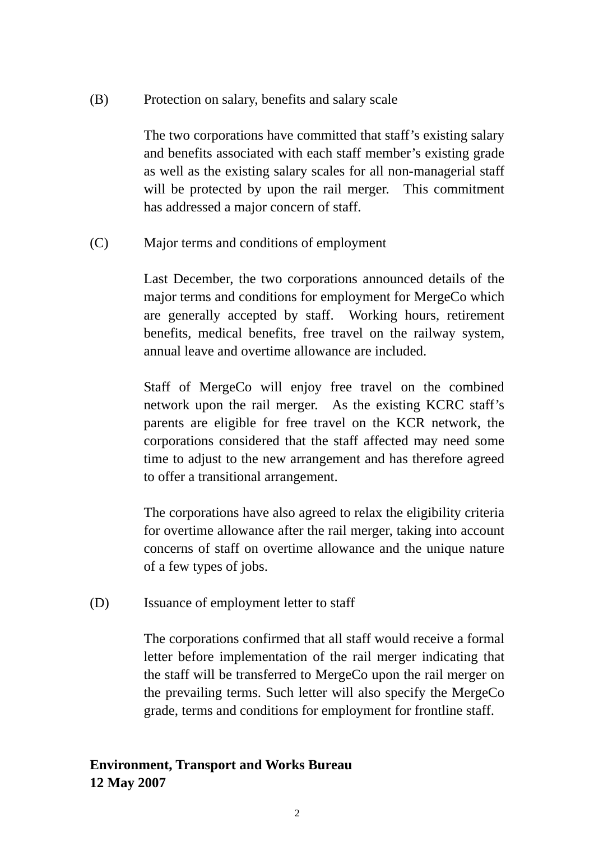(B) Protection on salary, benefits and salary scale

The two corporations have committed that staff's existing salary and benefits associated with each staff member's existing grade as well as the existing salary scales for all non-managerial staff will be protected by upon the rail merger. This commitment has addressed a major concern of staff.

(C) Major terms and conditions of employment

 Last December, the two corporations announced details of the major terms and conditions for employment for MergeCo which are generally accepted by staff. Working hours, retirement benefits, medical benefits, free travel on the railway system, annual leave and overtime allowance are included.

Staff of MergeCo will enjoy free travel on the combined network upon the rail merger. As the existing KCRC staff's parents are eligible for free travel on the KCR network, the corporations considered that the staff affected may need some time to adjust to the new arrangement and has therefore agreed to offer a transitional arrangement.

The corporations have also agreed to relax the eligibility criteria for overtime allowance after the rail merger, taking into account concerns of staff on overtime allowance and the unique nature of a few types of jobs.

(D) Issuance of employment letter to staff

The corporations confirmed that all staff would receive a formal letter before implementation of the rail merger indicating that the staff will be transferred to MergeCo upon the rail merger on the prevailing terms. Such letter will also specify the MergeCo grade, terms and conditions for employment for frontline staff.

# **Environment, Transport and Works Bureau 12 May 2007**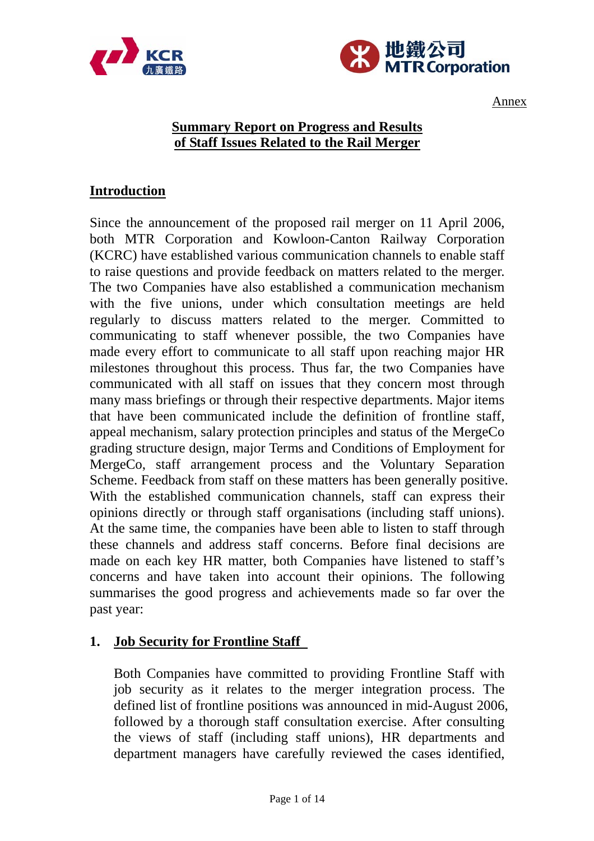



Annex

## **Summary Report on Progress and Results of Staff Issues Related to the Rail Merger**

### **Introduction**

Since the announcement of the proposed rail merger on 11 April 2006, both MTR Corporation and Kowloon-Canton Railway Corporation (KCRC) have established various communication channels to enable staff to raise questions and provide feedback on matters related to the merger. The two Companies have also established a communication mechanism with the five unions, under which consultation meetings are held regularly to discuss matters related to the merger. Committed to communicating to staff whenever possible, the two Companies have made every effort to communicate to all staff upon reaching major HR milestones throughout this process. Thus far, the two Companies have communicated with all staff on issues that they concern most through many mass briefings or through their respective departments. Major items that have been communicated include the definition of frontline staff, appeal mechanism, salary protection principles and status of the MergeCo grading structure design, major Terms and Conditions of Employment for MergeCo, staff arrangement process and the Voluntary Separation Scheme. Feedback from staff on these matters has been generally positive. With the established communication channels, staff can express their opinions directly or through staff organisations (including staff unions). At the same time, the companies have been able to listen to staff through these channels and address staff concerns. Before final decisions are made on each key HR matter, both Companies have listened to staff's concerns and have taken into account their opinions. The following summarises the good progress and achievements made so far over the past year:

### **1. Job Security for Frontline Staff**

Both Companies have committed to providing Frontline Staff with job security as it relates to the merger integration process. The defined list of frontline positions was announced in mid-August 2006, followed by a thorough staff consultation exercise. After consulting the views of staff (including staff unions), HR departments and department managers have carefully reviewed the cases identified,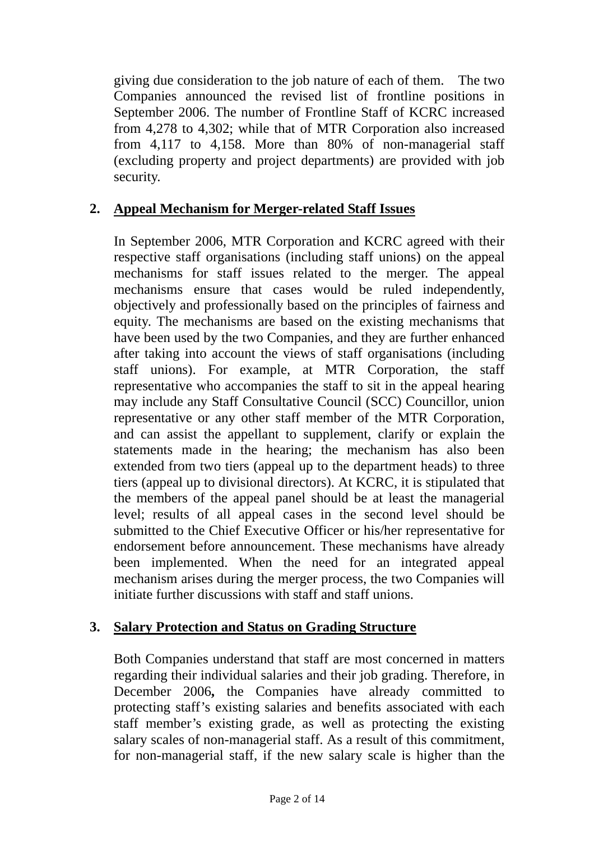giving due consideration to the job nature of each of them. The two Companies announced the revised list of frontline positions in September 2006. The number of Frontline Staff of KCRC increased from 4,278 to 4,302; while that of MTR Corporation also increased from 4,117 to 4,158. More than 80% of non-managerial staff (excluding property and project departments) are provided with job security.

## **2. Appeal Mechanism for Merger-related Staff Issues**

In September 2006, MTR Corporation and KCRC agreed with their respective staff organisations (including staff unions) on the appeal mechanisms for staff issues related to the merger. The appeal mechanisms ensure that cases would be ruled independently, objectively and professionally based on the principles of fairness and equity. The mechanisms are based on the existing mechanisms that have been used by the two Companies, and they are further enhanced after taking into account the views of staff organisations (including staff unions). For example, at MTR Corporation, the staff representative who accompanies the staff to sit in the appeal hearing may include any Staff Consultative Council (SCC) Councillor, union representative or any other staff member of the MTR Corporation, and can assist the appellant to supplement, clarify or explain the statements made in the hearing; the mechanism has also been extended from two tiers (appeal up to the department heads) to three tiers (appeal up to divisional directors). At KCRC, it is stipulated that the members of the appeal panel should be at least the managerial level; results of all appeal cases in the second level should be submitted to the Chief Executive Officer or his/her representative for endorsement before announcement. These mechanisms have already been implemented. When the need for an integrated appeal mechanism arises during the merger process, the two Companies will initiate further discussions with staff and staff unions.

### **3. Salary Protection and Status on Grading Structure**

Both Companies understand that staff are most concerned in matters regarding their individual salaries and their job grading. Therefore, in December 2006**,** the Companies have already committed to protecting staff's existing salaries and benefits associated with each staff member's existing grade, as well as protecting the existing salary scales of non-managerial staff. As a result of this commitment, for non-managerial staff, if the new salary scale is higher than the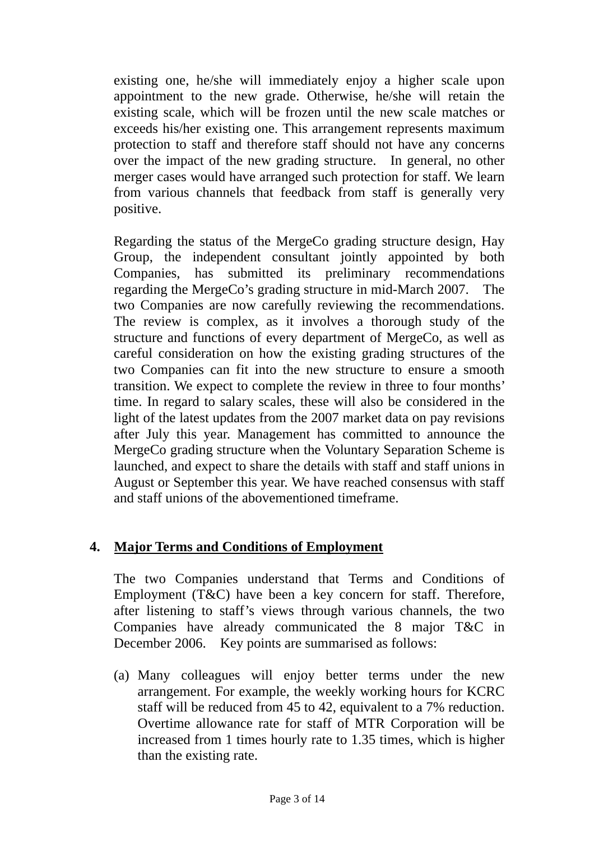existing one, he/she will immediately enjoy a higher scale upon appointment to the new grade. Otherwise, he/she will retain the existing scale, which will be frozen until the new scale matches or exceeds his/her existing one. This arrangement represents maximum protection to staff and therefore staff should not have any concerns over the impact of the new grading structure. In general, no other merger cases would have arranged such protection for staff. We learn from various channels that feedback from staff is generally very positive.

Regarding the status of the MergeCo grading structure design, Hay Group, the independent consultant jointly appointed by both Companies, has submitted its preliminary recommendations regarding the MergeCo's grading structure in mid-March 2007. The two Companies are now carefully reviewing the recommendations. The review is complex, as it involves a thorough study of the structure and functions of every department of MergeCo, as well as careful consideration on how the existing grading structures of the two Companies can fit into the new structure to ensure a smooth transition. We expect to complete the review in three to four months' time. In regard to salary scales, these will also be considered in the light of the latest updates from the 2007 market data on pay revisions after July this year. Management has committed to announce the MergeCo grading structure when the Voluntary Separation Scheme is launched, and expect to share the details with staff and staff unions in August or September this year. We have reached consensus with staff and staff unions of the abovementioned timeframe.

## **4. Major Terms and Conditions of Employment**

The two Companies understand that Terms and Conditions of Employment (T&C) have been a key concern for staff. Therefore, after listening to staff's views through various channels, the two Companies have already communicated the 8 major T&C in December 2006. Key points are summarised as follows:

(a) Many colleagues will enjoy better terms under the new arrangement. For example, the weekly working hours for KCRC staff will be reduced from 45 to 42, equivalent to a 7% reduction. Overtime allowance rate for staff of MTR Corporation will be increased from 1 times hourly rate to 1.35 times, which is higher than the existing rate.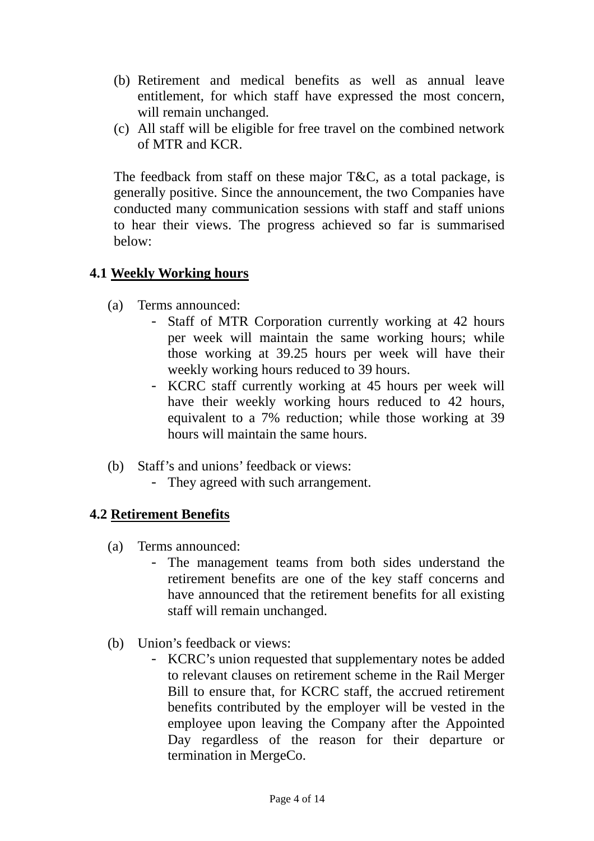- (b) Retirement and medical benefits as well as annual leave entitlement, for which staff have expressed the most concern, will remain unchanged.
- (c) All staff will be eligible for free travel on the combined network of MTR and KCR.

The feedback from staff on these major T&C, as a total package, is generally positive. Since the announcement, the two Companies have conducted many communication sessions with staff and staff unions to hear their views. The progress achieved so far is summarised below:

### **4.1 Weekly Working hours**

- (a) Terms announced:
	- Staff of MTR Corporation currently working at 42 hours per week will maintain the same working hours; while those working at 39.25 hours per week will have their weekly working hours reduced to 39 hours.
	- KCRC staff currently working at 45 hours per week will have their weekly working hours reduced to 42 hours, equivalent to a 7% reduction; while those working at 39 hours will maintain the same hours.
- (b) Staff's and unions' feedback or views:
	- They agreed with such arrangement.

## **4.2 Retirement Benefits**

- (a) Terms announced:
	- The management teams from both sides understand the retirement benefits are one of the key staff concerns and have announced that the retirement benefits for all existing staff will remain unchanged.
- (b) Union's feedback or views:
	- KCRC's union requested that supplementary notes be added to relevant clauses on retirement scheme in the Rail Merger Bill to ensure that, for KCRC staff, the accrued retirement benefits contributed by the employer will be vested in the employee upon leaving the Company after the Appointed Day regardless of the reason for their departure or termination in MergeCo.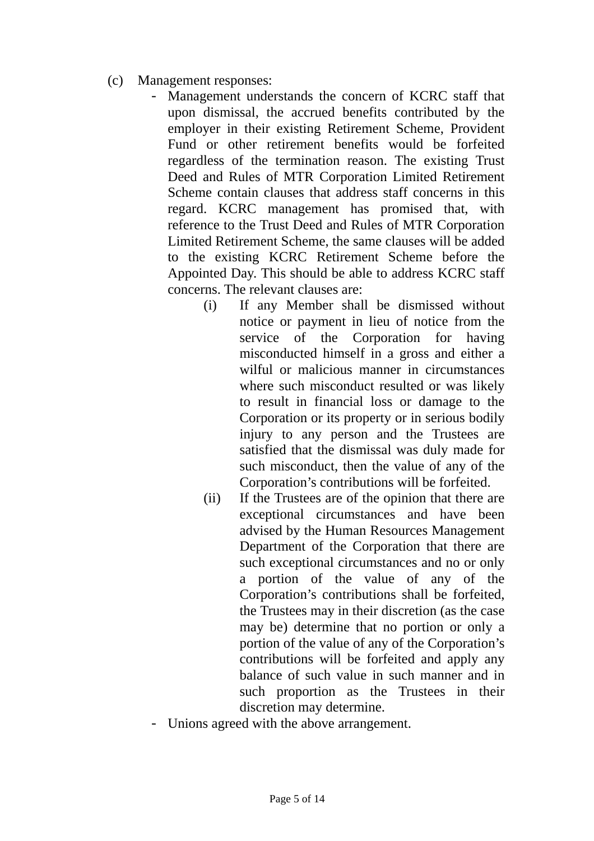- (c) Management responses:
	- Management understands the concern of KCRC staff that upon dismissal, the accrued benefits contributed by the employer in their existing Retirement Scheme, Provident Fund or other retirement benefits would be forfeited regardless of the termination reason. The existing Trust Deed and Rules of MTR Corporation Limited Retirement Scheme contain clauses that address staff concerns in this regard. KCRC management has promised that, with reference to the Trust Deed and Rules of MTR Corporation Limited Retirement Scheme, the same clauses will be added to the existing KCRC Retirement Scheme before the Appointed Day. This should be able to address KCRC staff concerns. The relevant clauses are:
		- (i) If any Member shall be dismissed without notice or payment in lieu of notice from the service of the Corporation for having misconducted himself in a gross and either a wilful or malicious manner in circumstances where such misconduct resulted or was likely to result in financial loss or damage to the Corporation or its property or in serious bodily injury to any person and the Trustees are satisfied that the dismissal was duly made for such misconduct, then the value of any of the Corporation's contributions will be forfeited.
		- (ii) If the Trustees are of the opinion that there are exceptional circumstances and have been advised by the Human Resources Management Department of the Corporation that there are such exceptional circumstances and no or only a portion of the value of any of the Corporation's contributions shall be forfeited, the Trustees may in their discretion (as the case may be) determine that no portion or only a portion of the value of any of the Corporation's contributions will be forfeited and apply any balance of such value in such manner and in such proportion as the Trustees in their discretion may determine.
	- Unions agreed with the above arrangement.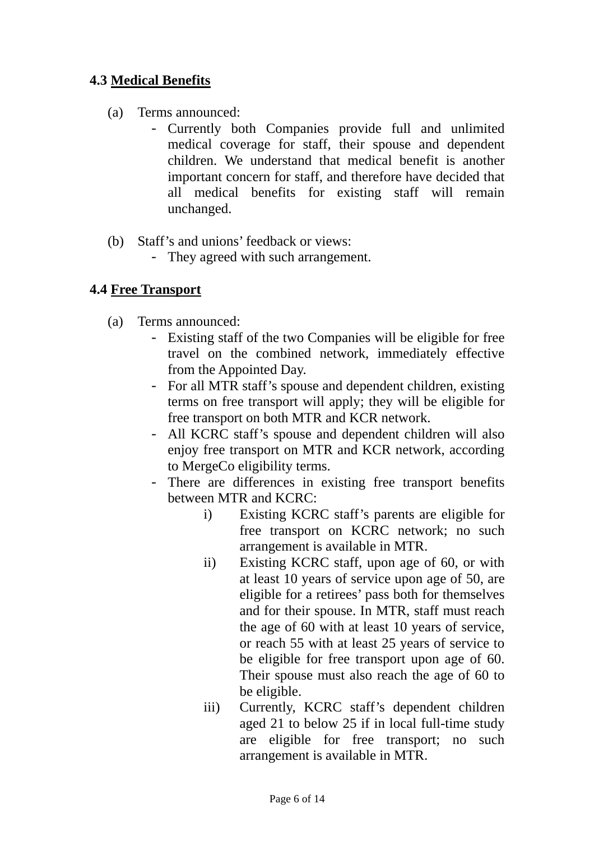## **4.3 Medical Benefits**

- (a) Terms announced:
	- Currently both Companies provide full and unlimited medical coverage for staff, their spouse and dependent children. We understand that medical benefit is another important concern for staff, and therefore have decided that all medical benefits for existing staff will remain unchanged.
- (b) Staff's and unions' feedback or views:
	- They agreed with such arrangement.

## **4.4 Free Transport**

- (a) Terms announced:
	- Existing staff of the two Companies will be eligible for free travel on the combined network, immediately effective from the Appointed Day.
	- For all MTR staff's spouse and dependent children, existing terms on free transport will apply; they will be eligible for free transport on both MTR and KCR network.
	- All KCRC staff's spouse and dependent children will also enjoy free transport on MTR and KCR network, according to MergeCo eligibility terms.
	- There are differences in existing free transport benefits between MTR and KCRC:
		- i) Existing KCRC staff's parents are eligible for free transport on KCRC network; no such arrangement is available in MTR.
		- ii) Existing KCRC staff, upon age of 60, or with at least 10 years of service upon age of 50, are eligible for a retirees' pass both for themselves and for their spouse. In MTR, staff must reach the age of 60 with at least 10 years of service, or reach 55 with at least 25 years of service to be eligible for free transport upon age of 60. Their spouse must also reach the age of 60 to be eligible.
		- iii) Currently, KCRC staff's dependent children aged 21 to below 25 if in local full-time study are eligible for free transport; no such arrangement is available in MTR.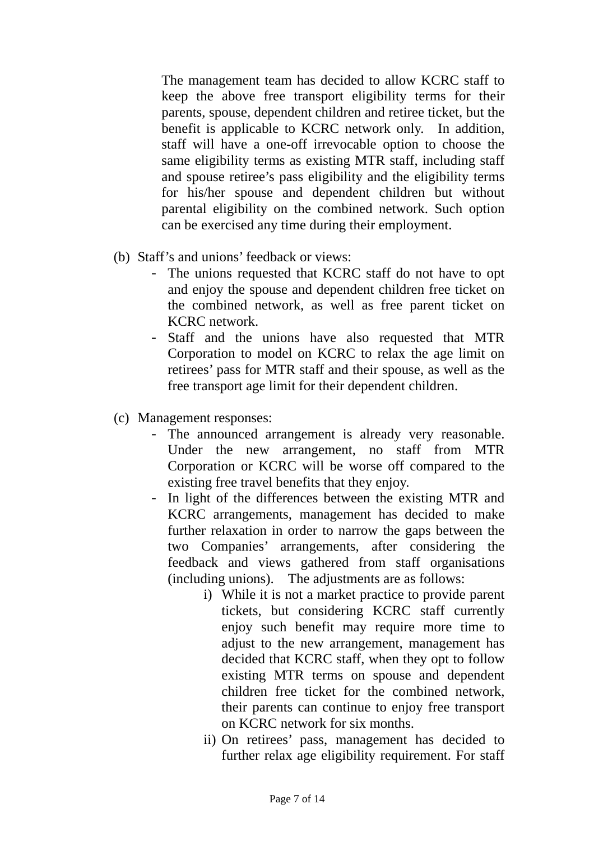The management team has decided to allow KCRC staff to keep the above free transport eligibility terms for their parents, spouse, dependent children and retiree ticket, but the benefit is applicable to KCRC network only. In addition, staff will have a one-off irrevocable option to choose the same eligibility terms as existing MTR staff, including staff and spouse retiree's pass eligibility and the eligibility terms for his/her spouse and dependent children but without parental eligibility on the combined network. Such option can be exercised any time during their employment.

- (b) Staff's and unions' feedback or views:
	- The unions requested that KCRC staff do not have to opt and enjoy the spouse and dependent children free ticket on the combined network, as well as free parent ticket on KCRC network.
	- Staff and the unions have also requested that MTR Corporation to model on KCRC to relax the age limit on retirees' pass for MTR staff and their spouse, as well as the free transport age limit for their dependent children.
- (c) Management responses:
	- The announced arrangement is already very reasonable. Under the new arrangement, no staff from MTR Corporation or KCRC will be worse off compared to the existing free travel benefits that they enjoy.
	- In light of the differences between the existing MTR and KCRC arrangements, management has decided to make further relaxation in order to narrow the gaps between the two Companies' arrangements, after considering the feedback and views gathered from staff organisations (including unions). The adjustments are as follows:
		- i) While it is not a market practice to provide parent tickets, but considering KCRC staff currently enjoy such benefit may require more time to adjust to the new arrangement, management has decided that KCRC staff, when they opt to follow existing MTR terms on spouse and dependent children free ticket for the combined network, their parents can continue to enjoy free transport on KCRC network for six months.
		- ii) On retirees' pass, management has decided to further relax age eligibility requirement. For staff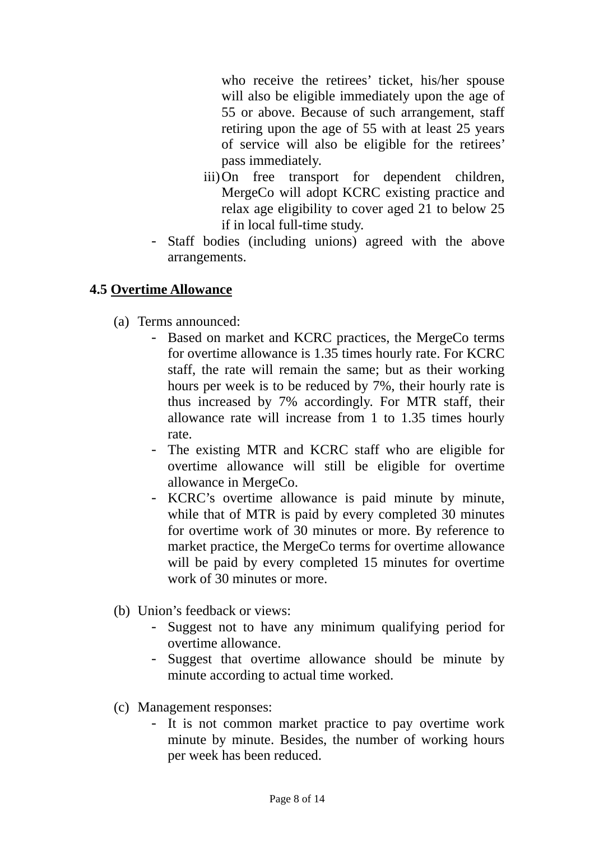who receive the retirees' ticket, his/her spouse will also be eligible immediately upon the age of 55 or above. Because of such arrangement, staff retiring upon the age of 55 with at least 25 years of service will also be eligible for the retirees' pass immediately.

- iii)On free transport for dependent children, MergeCo will adopt KCRC existing practice and relax age eligibility to cover aged 21 to below 25 if in local full-time study.
- Staff bodies (including unions) agreed with the above arrangements.

### **4.5 Overtime Allowance**

- (a) Terms announced:
	- Based on market and KCRC practices, the MergeCo terms for overtime allowance is 1.35 times hourly rate. For KCRC staff, the rate will remain the same; but as their working hours per week is to be reduced by 7%, their hourly rate is thus increased by 7% accordingly. For MTR staff, their allowance rate will increase from 1 to 1.35 times hourly rate.
	- The existing MTR and KCRC staff who are eligible for overtime allowance will still be eligible for overtime allowance in MergeCo.
	- KCRC's overtime allowance is paid minute by minute, while that of MTR is paid by every completed 30 minutes for overtime work of 30 minutes or more. By reference to market practice, the MergeCo terms for overtime allowance will be paid by every completed 15 minutes for overtime work of 30 minutes or more.
- (b) Union's feedback or views:
	- Suggest not to have any minimum qualifying period for overtime allowance.
	- Suggest that overtime allowance should be minute by minute according to actual time worked.
- (c) Management responses:
	- It is not common market practice to pay overtime work minute by minute. Besides, the number of working hours per week has been reduced.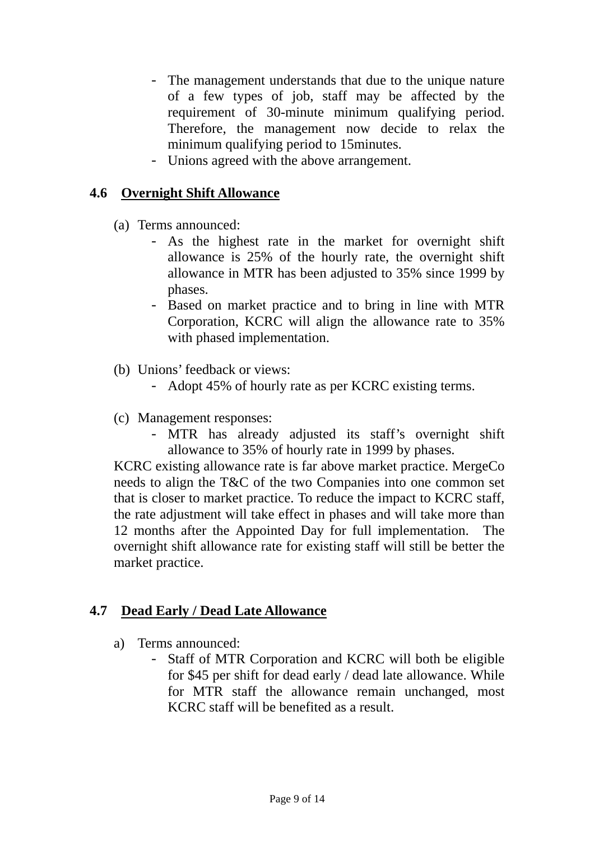- The management understands that due to the unique nature of a few types of job, staff may be affected by the requirement of 30-minute minimum qualifying period. Therefore, the management now decide to relax the minimum qualifying period to 15minutes.
- Unions agreed with the above arrangement.

### **4.6 Overnight Shift Allowance**

- (a) Terms announced:
	- As the highest rate in the market for overnight shift allowance is 25% of the hourly rate, the overnight shift allowance in MTR has been adjusted to 35% since 1999 by phases.
	- Based on market practice and to bring in line with MTR Corporation, KCRC will align the allowance rate to 35% with phased implementation.
- (b) Unions' feedback or views:
	- Adopt 45% of hourly rate as per KCRC existing terms.
- (c) Management responses:
	- MTR has already adjusted its staff's overnight shift allowance to 35% of hourly rate in 1999 by phases.

KCRC existing allowance rate is far above market practice. MergeCo needs to align the T&C of the two Companies into one common set that is closer to market practice. To reduce the impact to KCRC staff, the rate adjustment will take effect in phases and will take more than 12 months after the Appointed Day for full implementation. The overnight shift allowance rate for existing staff will still be better the market practice.

### **4.7 Dead Early / Dead Late Allowance**

- a) Terms announced:
	- Staff of MTR Corporation and KCRC will both be eligible for \$45 per shift for dead early / dead late allowance. While for MTR staff the allowance remain unchanged, most KCRC staff will be benefited as a result.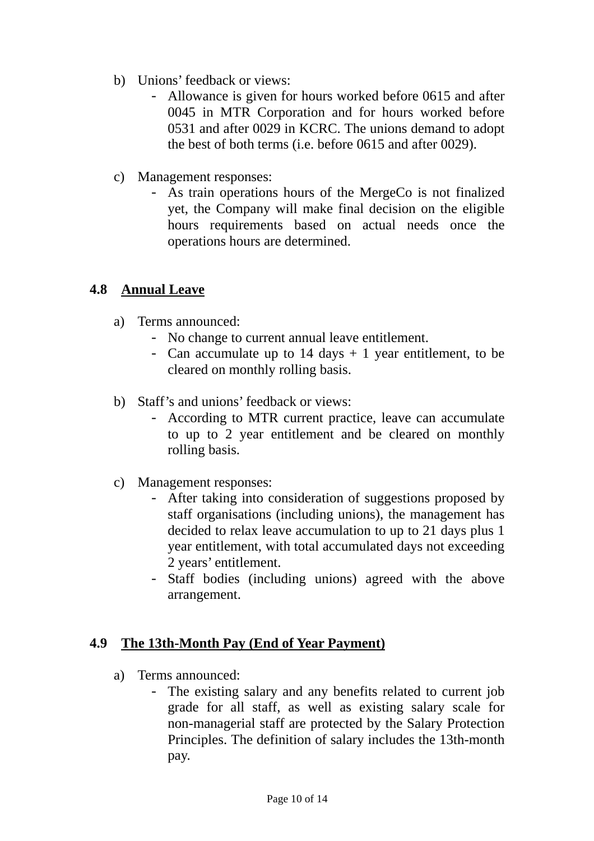- b) Unions' feedback or views:
	- Allowance is given for hours worked before 0615 and after 0045 in MTR Corporation and for hours worked before 0531 and after 0029 in KCRC. The unions demand to adopt the best of both terms (i.e. before 0615 and after 0029).
- c) Management responses:
	- As train operations hours of the MergeCo is not finalized yet, the Company will make final decision on the eligible hours requirements based on actual needs once the operations hours are determined.

#### **4.8 Annual Leave**

- a) Terms announced:
	- No change to current annual leave entitlement.
	- Can accumulate up to  $14 \text{ days} + 1 \text{ year}$  entitlement, to be cleared on monthly rolling basis.
- b) Staff's and unions' feedback or views:
	- According to MTR current practice, leave can accumulate to up to 2 year entitlement and be cleared on monthly rolling basis.
- c) Management responses:
	- After taking into consideration of suggestions proposed by staff organisations (including unions), the management has decided to relax leave accumulation to up to 21 days plus 1 year entitlement, with total accumulated days not exceeding 2 years' entitlement.
	- Staff bodies (including unions) agreed with the above arrangement.

### **4.9 The 13th-Month Pay (End of Year Payment)**

- a) Terms announced:
	- The existing salary and any benefits related to current job grade for all staff, as well as existing salary scale for non-managerial staff are protected by the Salary Protection Principles. The definition of salary includes the 13th-month pay.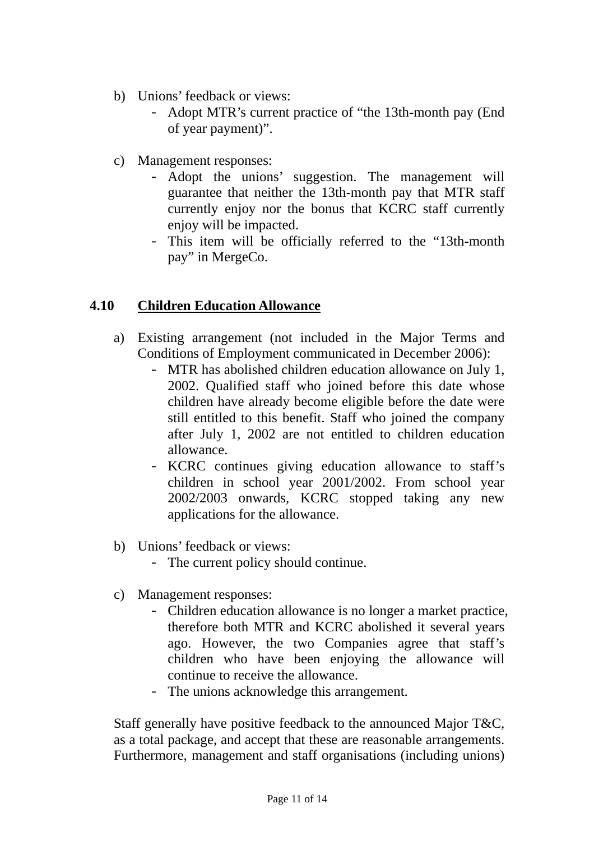- b) Unions' feedback or views:
	- Adopt MTR's current practice of "the 13th-month pay (End of year payment)".
- c) Management responses:
	- Adopt the unions' suggestion. The management will guarantee that neither the 13th-month pay that MTR staff currently enjoy nor the bonus that KCRC staff currently enjoy will be impacted.
	- This item will be officially referred to the "13th-month pay" in MergeCo.

### **4.10 Children Education Allowance**

- a) Existing arrangement (not included in the Major Terms and Conditions of Employment communicated in December 2006):
	- MTR has abolished children education allowance on July 1, 2002. Qualified staff who joined before this date whose children have already become eligible before the date were still entitled to this benefit. Staff who joined the company after July 1, 2002 are not entitled to children education allowance.
	- KCRC continues giving education allowance to staff's children in school year 2001/2002. From school year 2002/2003 onwards, KCRC stopped taking any new applications for the allowance.
- b) Unions' feedback or views:
	- The current policy should continue.
- c) Management responses:
	- Children education allowance is no longer a market practice, therefore both MTR and KCRC abolished it several years ago. However, the two Companies agree that staff's children who have been enjoying the allowance will continue to receive the allowance.
	- The unions acknowledge this arrangement.

Staff generally have positive feedback to the announced Major T&C, as a total package, and accept that these are reasonable arrangements. Furthermore, management and staff organisations (including unions)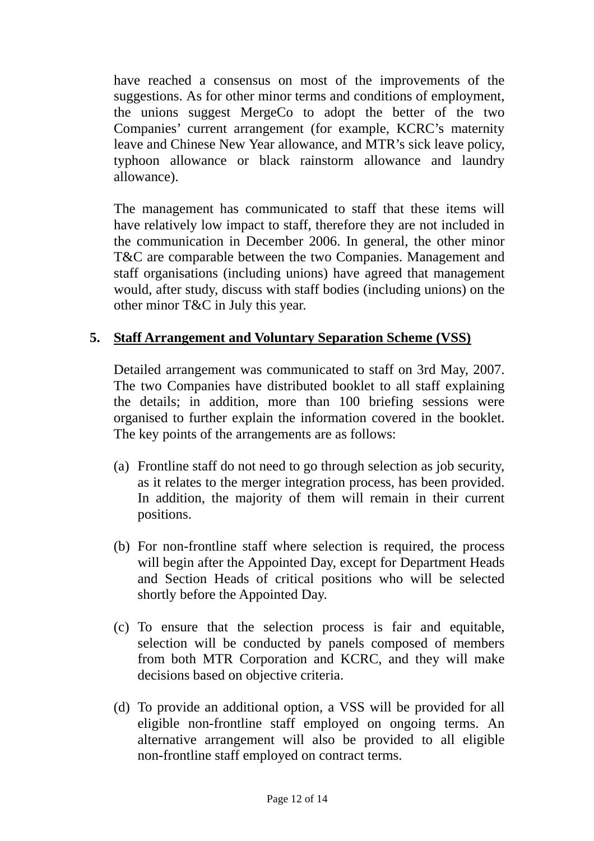have reached a consensus on most of the improvements of the suggestions. As for other minor terms and conditions of employment, the unions suggest MergeCo to adopt the better of the two Companies' current arrangement (for example, KCRC's maternity leave and Chinese New Year allowance, and MTR's sick leave policy, typhoon allowance or black rainstorm allowance and laundry allowance).

The management has communicated to staff that these items will have relatively low impact to staff, therefore they are not included in the communication in December 2006. In general, the other minor T&C are comparable between the two Companies. Management and staff organisations (including unions) have agreed that management would, after study, discuss with staff bodies (including unions) on the other minor T&C in July this year.

### **5. Staff Arrangement and Voluntary Separation Scheme (VSS)**

Detailed arrangement was communicated to staff on 3rd May, 2007. The two Companies have distributed booklet to all staff explaining the details; in addition, more than 100 briefing sessions were organised to further explain the information covered in the booklet. The key points of the arrangements are as follows:

- (a) Frontline staff do not need to go through selection as job security, as it relates to the merger integration process, has been provided. In addition, the majority of them will remain in their current positions.
- (b) For non-frontline staff where selection is required, the process will begin after the Appointed Day, except for Department Heads and Section Heads of critical positions who will be selected shortly before the Appointed Day.
- (c) To ensure that the selection process is fair and equitable, selection will be conducted by panels composed of members from both MTR Corporation and KCRC, and they will make decisions based on objective criteria.
- (d) To provide an additional option, a VSS will be provided for all eligible non-frontline staff employed on ongoing terms. An alternative arrangement will also be provided to all eligible non-frontline staff employed on contract terms.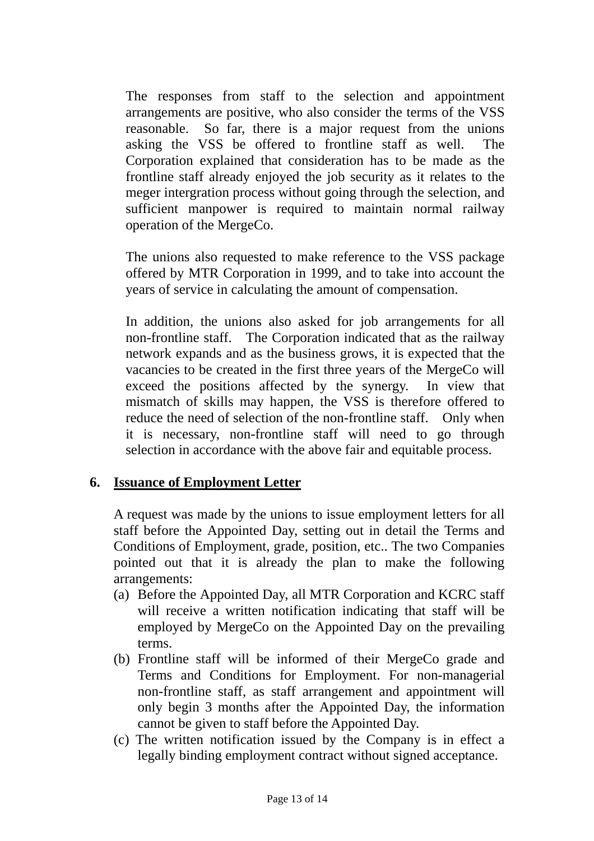The responses from staff to the selection and appointment arrangements are positive, who also consider the terms of the VSS reasonable. So far, there is a major request from the unions asking the VSS be offered to frontline staff as well. The Corporation explained that consideration has to be made as the frontline staff already enjoyed the job security as it relates to the meger intergration process without going through the selection, and sufficient manpower is required to maintain normal railway operation of the MergeCo.

The unions also requested to make reference to the VSS package offered by MTR Corporation in 1999, and to take into account the years of service in calculating the amount of compensation.

In addition, the unions also asked for job arrangements for all non-frontline staff. The Corporation indicated that as the railway network expands and as the business grows, it is expected that the vacancies to be created in the first three years of the MergeCo will exceed the positions affected by the synergy. In view that mismatch of skills may happen, the VSS is therefore offered to reduce the need of selection of the non-frontline staff. Only when it is necessary, non-frontline staff will need to go through selection in accordance with the above fair and equitable process.

### **6. Issuance of Employment Letter**

A request was made by the unions to issue employment letters for all staff before the Appointed Day, setting out in detail the Terms and Conditions of Employment, grade, position, etc.. The two Companies pointed out that it is already the plan to make the following arrangements:

- (a) Before the Appointed Day, all MTR Corporation and KCRC staff will receive a written notification indicating that staff will be employed by MergeCo on the Appointed Day on the prevailing terms.
- (b) Frontline staff will be informed of their MergeCo grade and Terms and Conditions for Employment. For non-managerial non-frontline staff, as staff arrangement and appointment will only begin 3 months after the Appointed Day, the information cannot be given to staff before the Appointed Day.
- (c) The written notification issued by the Company is in effect a legally binding employment contract without signed acceptance.